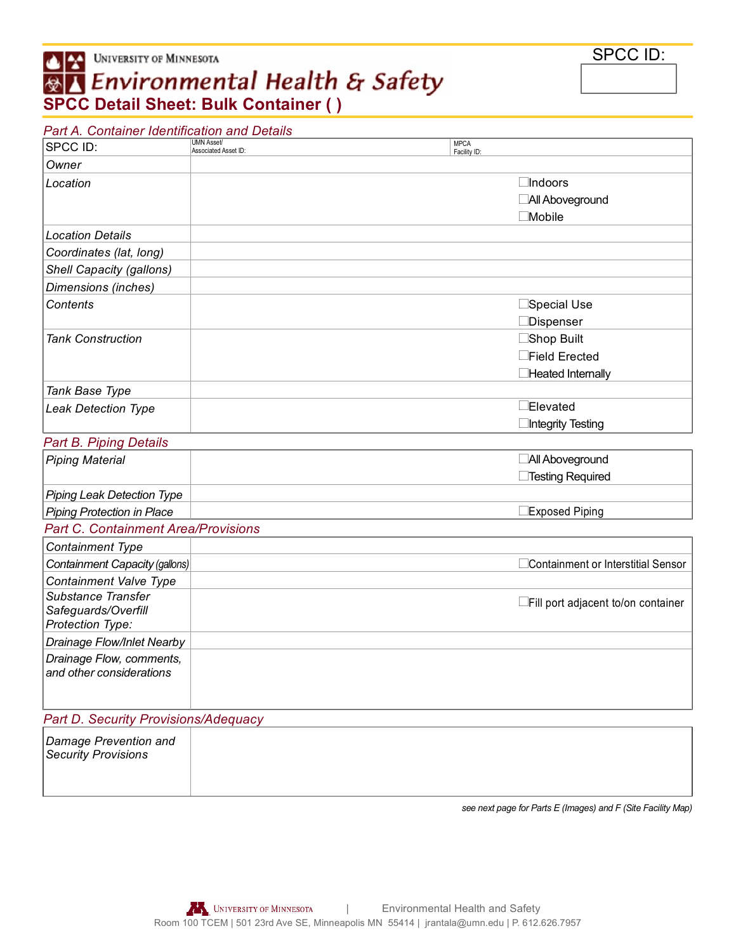## UNIVERSITY OF MINNESOTA **SPCC Detail Sheet: Bulk Container ( )**

| Part A. Container Identification and Details         |                                           |                             |                                     |
|------------------------------------------------------|-------------------------------------------|-----------------------------|-------------------------------------|
| SPCC ID:                                             | <b>UMN Asset/</b><br>Associated Asset ID: | <b>MPCA</b><br>Facility ID: |                                     |
| Owner                                                |                                           |                             |                                     |
| Location                                             |                                           |                             | $\Box$ Indoors                      |
|                                                      |                                           |                             | All Aboveground                     |
|                                                      |                                           |                             | $\Box$ Mobile                       |
| <b>Location Details</b>                              |                                           |                             |                                     |
| Coordinates (lat, long)                              |                                           |                             |                                     |
| Shell Capacity (gallons)                             |                                           |                             |                                     |
| Dimensions (inches)                                  |                                           |                             |                                     |
| Contents                                             |                                           |                             | $\Box$ Special Use                  |
|                                                      |                                           |                             | Dispenser                           |
| <b>Tank Construction</b>                             |                                           |                             | Shop Built                          |
|                                                      |                                           |                             | Field Erected                       |
|                                                      |                                           |                             | Heated Internally                   |
| Tank Base Type                                       |                                           |                             |                                     |
| <b>Leak Detection Type</b>                           |                                           |                             | Elevated                            |
|                                                      |                                           |                             | Integrity Testing                   |
| <b>Part B. Piping Details</b>                        |                                           |                             |                                     |
| <b>Piping Material</b>                               |                                           |                             | All Aboveground                     |
|                                                      |                                           |                             | □Testing Required                   |
| <b>Piping Leak Detection Type</b>                    |                                           |                             |                                     |
| <b>Piping Protection in Place</b>                    |                                           |                             | Exposed Piping                      |
| <b>Part C. Containment Area/Provisions</b>           |                                           |                             |                                     |
| Containment Type                                     |                                           |                             |                                     |
| Containment Capacity (gallons)                       |                                           |                             | Containment or Interstitial Sensor  |
| Containment Valve Type                               |                                           |                             |                                     |
| Substance Transfer                                   |                                           |                             | □Fill port adjacent to/on container |
| Safeguards/Overfill<br>Protection Type:              |                                           |                             |                                     |
|                                                      |                                           |                             |                                     |
| Drainage Flow/Inlet Nearby                           |                                           |                             |                                     |
| Drainage Flow, comments,<br>and other considerations |                                           |                             |                                     |
|                                                      |                                           |                             |                                     |
|                                                      |                                           |                             |                                     |
| Part D. Security Provisions/Adequacy                 |                                           |                             |                                     |
| Damage Prevention and                                |                                           |                             |                                     |
| <b>Security Provisions</b>                           |                                           |                             |                                     |
|                                                      |                                           |                             |                                     |

*see next page for Parts E (Images) and F (Site Facility Map)*